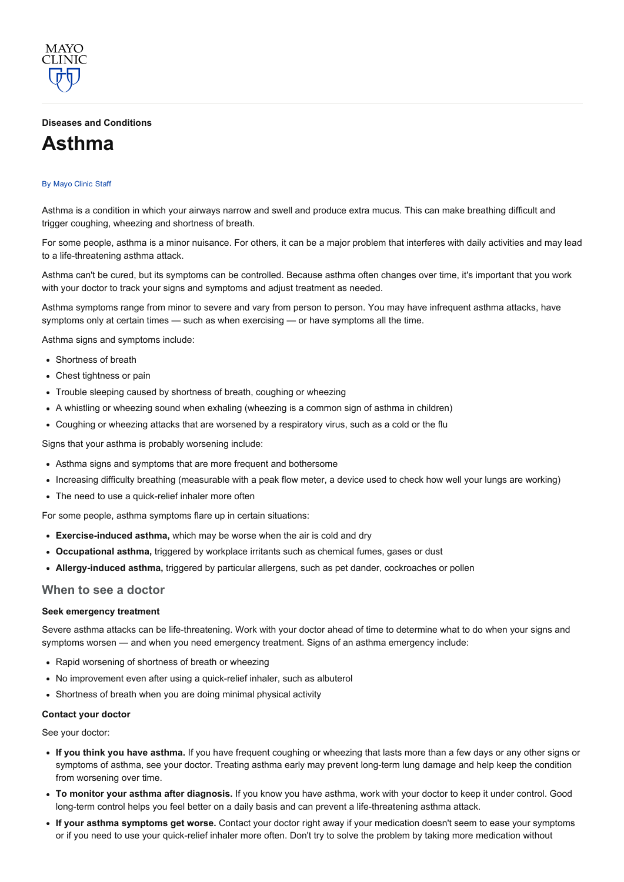#### Diseases and [Conditions](http://www.mayoclinic.org/diseases-conditions)

# [Asthma](http://www.mayoclinic.org/diseases-conditions/asthma/basics/definition/con-20026992)

MAYO CLINIC

#### By [Mayo](http://www.mayoclinic.org/about-this-site/welcome) Clinic Staff

Asthma is a condition in which your airways narrow and swell and produce extra mucus. This can make breathing difficult and trigger coughing, wheezing and shortness of breath.

For some people, asthma is a minor nuisance. For others, it can be a major problem that interferes with daily activities and may lead to a life-threatening asthma attack.

Asthma can't be cured, but its symptoms can be controlled. Because asthma often changes over time, it's important that you work with your doctor to track your signs and symptoms and adjust treatment as needed.

Asthma symptoms range from minor to severe and vary from person to person. You may have infrequent asthma attacks, have symptoms only at certain times — such as when exercising — or have symptoms all the time.

Asthma signs and symptoms include:

- Shortness of breath
- Chest tightness or pain
- Trouble sleeping caused by shortness of breath, coughing or wheezing
- A whistling or wheezing sound when exhaling (wheezing is a common sign of asthma in children)
- Coughing or wheezing attacks that are worsened by a respiratory virus, such as a cold or the flu

Signs that your asthma is probably worsening include:

- Asthma signs and symptoms that are more frequent and bothersome
- Increasing difficulty breathing (measurable with a peak flow meter, a device used to check how well your lungs are working)
- The need to use a quick-relief inhaler more often

For some people, asthma symptoms flare up in certain situations:

- Exercise-induced asthma, which may be worse when the air is cold and dry
- Occupational asthma, triggered by workplace irritants such as chemical fumes, gases or dust
- Allergy-induced asthma, triggered by particular allergens, such as pet dander, cockroaches or pollen

#### When to see a doctor

#### Seek emergency treatment

Severe asthma attacks can be life-threatening. Work with your doctor ahead of time to determine what to do when your signs and symptoms worsen — and when you need emergency treatment. Signs of an asthma emergency include:

- Rapid worsening of shortness of breath or wheezing
- No improvement even after using a quick-relief inhaler, such as albuterol
- Shortness of breath when you are doing minimal physical activity

#### Contact your doctor

See your doctor:

- If you think you have asthma. If you have frequent coughing or wheezing that lasts more than a few days or any other signs or symptoms of asthma, see your doctor. Treating asthma early may prevent long-term lung damage and help keep the condition from worsening over time.
- To monitor your asthma after diagnosis. If you know you have asthma, work with your doctor to keep it under control. Good long-term control helps you feel better on a daily basis and can prevent a life-threatening asthma attack.
- If your asthma symptoms get worse. Contact your doctor right away if your medication doesn't seem to ease your symptoms or if you need to use your quick-relief inhaler more often. Don't try to solve the problem by taking more medication without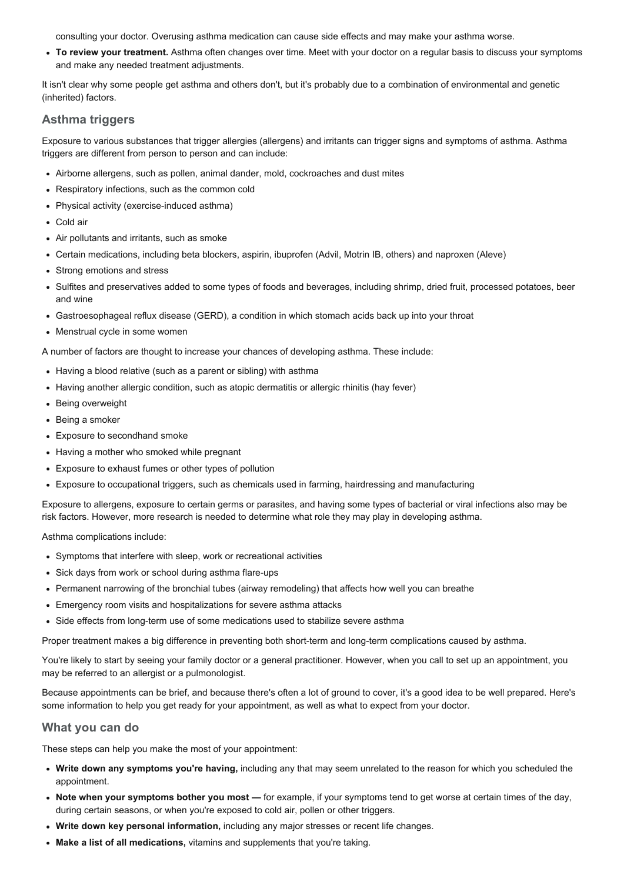consulting your doctor. Overusing asthma medication can cause side effects and may make your asthma worse.

• To review your treatment. Asthma often changes over time. Meet with your doctor on a regular basis to discuss your symptoms and make any needed treatment adjustments.

It isn't clear why some people get asthma and others don't, but it's probably due to a combination of environmental and genetic (inherited) factors.

# Asthma triggers

Exposure to various substances that trigger allergies (allergens) and irritants can trigger signs and symptoms of asthma. Asthma triggers are different from person to person and can include:

- Airborne allergens, such as pollen, animal dander, mold, cockroaches and dust mites
- Respiratory infections, such as the common cold
- Physical activity (exercise-induced asthma)
- Cold air
- Air pollutants and irritants, such as smoke
- Certain medications, including beta blockers, aspirin, ibuprofen (Advil, Motrin IB, others) and naproxen (Aleve)
- Strong emotions and stress
- Sulfites and preservatives added to some types of foods and beverages, including shrimp, dried fruit, processed potatoes, beer and wine
- Gastroesophageal reflux disease (GERD), a condition in which stomach acids back up into your throat
- Menstrual cycle in some women

A number of factors are thought to increase your chances of developing asthma. These include:

- Having a blood relative (such as a parent or sibling) with asthma
- Having another allergic condition, such as atopic dermatitis or allergic rhinitis (hay fever)
- Being overweight
- Being a smoker
- Exposure to secondhand smoke
- Having a mother who smoked while pregnant
- Exposure to exhaust fumes or other types of pollution
- Exposure to occupational triggers, such as chemicals used in farming, hairdressing and manufacturing

Exposure to allergens, exposure to certain germs or parasites, and having some types of bacterial or viral infections also may be risk factors. However, more research is needed to determine what role they may play in developing asthma.

Asthma complications include:

- Symptoms that interfere with sleep, work or recreational activities
- Sick days from work or school during asthma flare-ups
- Permanent narrowing of the bronchial tubes (airway remodeling) that affects how well you can breathe
- Emergency room visits and hospitalizations for severe asthma attacks
- Side effects from long-term use of some medications used to stabilize severe asthma

Proper treatment makes a big difference in preventing both short-term and long-term complications caused by asthma.

You're likely to start by seeing your family doctor or a general practitioner. However, when you call to set up an appointment, you may be referred to an allergist or a pulmonologist.

Because appointments can be brief, and because there's often a lot of ground to cover, it's a good idea to be well prepared. Here's some information to help you get ready for your appointment, as well as what to expect from your doctor.

## What you can do

These steps can help you make the most of your appointment:

- Write down any symptoms you're having, including any that may seem unrelated to the reason for which you scheduled the appointment.
- Note when your symptoms bother you most for example, if your symptoms tend to get worse at certain times of the day, during certain seasons, or when you're exposed to cold air, pollen or other triggers.
- Write down key personal information, including any major stresses or recent life changes.
- Make a list of all medications, vitamins and supplements that you're taking.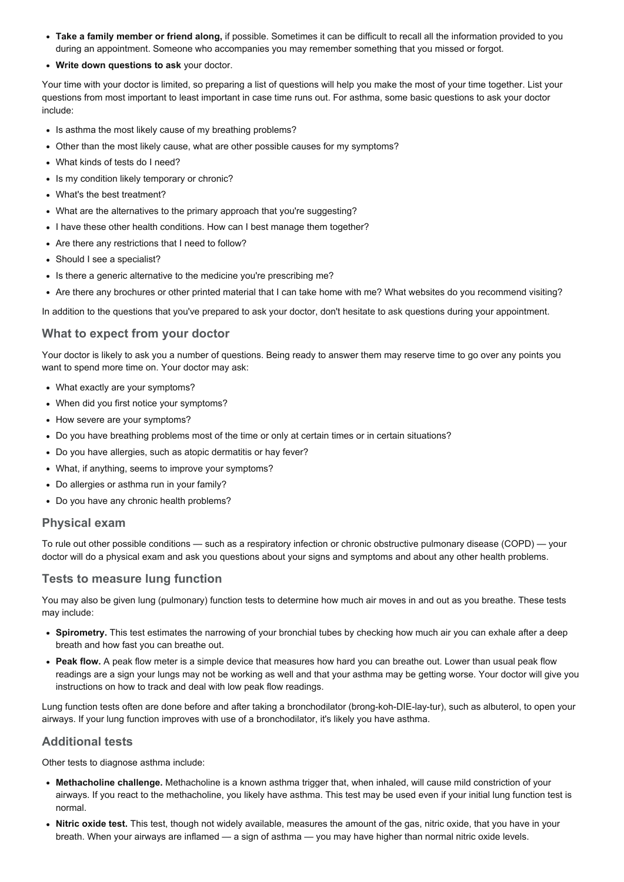- Take a family member or friend along, if possible. Sometimes it can be difficult to recall all the information provided to you during an appointment. Someone who accompanies you may remember something that you missed or forgot.
- Write down questions to ask your doctor.

Your time with your doctor is limited, so preparing a list of questions will help you make the most of your time together. List your questions from most important to least important in case time runs out. For asthma, some basic questions to ask your doctor include:

- Is asthma the most likely cause of my breathing problems?
- Other than the most likely cause, what are other possible causes for my symptoms?
- What kinds of tests do I need?
- Is my condition likely temporary or chronic?
- What's the best treatment?
- What are the alternatives to the primary approach that you're suggesting?
- I have these other health conditions. How can I best manage them together?
- Are there any restrictions that I need to follow?
- Should I see a specialist?
- Is there a generic alternative to the medicine you're prescribing me?
- Are there any brochures or other printed material that I can take home with me? What websites do you recommend visiting?

In addition to the questions that you've prepared to ask your doctor, don't hesitate to ask questions during your appointment.

## What to expect from your doctor

Your doctor is likely to ask you a number of questions. Being ready to answer them may reserve time to go over any points you want to spend more time on. Your doctor may ask:

- What exactly are your symptoms?
- When did you first notice your symptoms?
- How severe are your symptoms?
- Do you have breathing problems most of the time or only at certain times or in certain situations?
- Do you have allergies, such as atopic dermatitis or hay fever?
- What, if anything, seems to improve your symptoms?
- Do allergies or asthma run in your family?
- Do you have any chronic health problems?

## Physical exam

To rule out other possible conditions — such as a respiratory infection or chronic obstructive pulmonary disease (COPD) — your doctor will do a physical exam and ask you questions about your signs and symptoms and about any other health problems.

## Tests to measure lung function

You may also be given lung (pulmonary) function tests to determine how much air moves in and out as you breathe. These tests may include:

- Spirometry. This test estimates the narrowing of your bronchial tubes by checking how much air you can exhale after a deep breath and how fast you can breathe out.
- Peak flow. A peak flow meter is a simple device that measures how hard you can breathe out. Lower than usual peak flow readings are a sign your lungs may not be working as well and that your asthma may be getting worse. Your doctor will give you instructions on how to track and deal with low peak flow readings.

Lung function tests often are done before and after taking a bronchodilator (brong-koh-DIE-lay-tur), such as albuterol, to open your airways. If your lung function improves with use of a bronchodilator, it's likely you have asthma.

## Additional tests

Other tests to diagnose asthma include:

- Methacholine challenge. Methacholine is a known asthma trigger that, when inhaled, will cause mild constriction of your airways. If you react to the methacholine, you likely have asthma. This test may be used even if your initial lung function test is normal.
- Nitric oxide test. This test, though not widely available, measures the amount of the gas, nitric oxide, that you have in your breath. When your airways are inflamed — a sign of asthma — you may have higher than normal nitric oxide levels.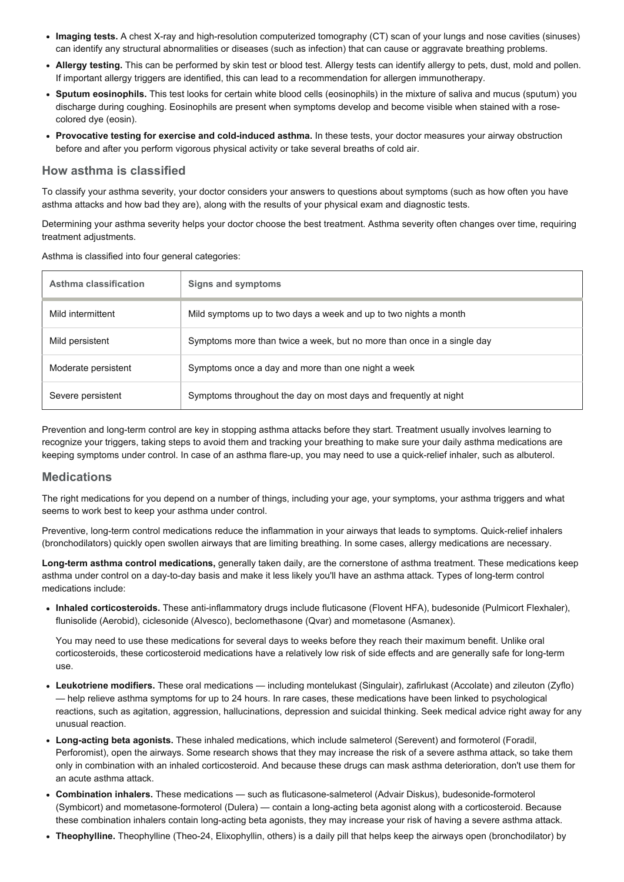- Imaging tests. A chest X-ray and high-resolution computerized tomography (CT) scan of your lungs and nose cavities (sinuses) can identify any structural abnormalities or diseases (such as infection) that can cause or aggravate breathing problems.
- Allergy testing. This can be performed by skin test or blood test. Allergy tests can identify allergy to pets, dust, mold and pollen. If important allergy triggers are identified, this can lead to a recommendation for allergen immunotherapy.
- Sputum eosinophils. This test looks for certain white blood cells (eosinophils) in the mixture of saliva and mucus (sputum) you discharge during coughing. Eosinophils are present when symptoms develop and become visible when stained with a rosecolored dye (eosin).
- Provocative testing for exercise and cold-induced asthma. In these tests, your doctor measures your airway obstruction before and after you perform vigorous physical activity or take several breaths of cold air.

#### How asthma is classified

To classify your asthma severity, your doctor considers your answers to questions about symptoms (such as how often you have asthma attacks and how bad they are), along with the results of your physical exam and diagnostic tests.

Determining your asthma severity helps your doctor choose the best treatment. Asthma severity often changes over time, requiring treatment adjustments.

Asthma is classified into four general categories:

| Asthma classification | Signs and symptoms                                                     |
|-----------------------|------------------------------------------------------------------------|
| Mild intermittent     | Mild symptoms up to two days a week and up to two nights a month       |
| Mild persistent       | Symptoms more than twice a week, but no more than once in a single day |
| Moderate persistent   | Symptoms once a day and more than one night a week                     |
| Severe persistent     | Symptoms throughout the day on most days and frequently at night       |

Prevention and long-term control are key in stopping asthma attacks before they start. Treatment usually involves learning to recognize your triggers, taking steps to avoid them and tracking your breathing to make sure your daily asthma medications are keeping symptoms under control. In case of an asthma flare-up, you may need to use a quick-relief inhaler, such as albuterol.

## **Medications**

The right medications for you depend on a number of things, including your age, your symptoms, your asthma triggers and what seems to work best to keep your asthma under control.

Preventive, long-term control medications reduce the inflammation in your airways that leads to symptoms. Quick-relief inhalers (bronchodilators) quickly open swollen airways that are limiting breathing. In some cases, allergy medications are necessary.

Long-term asthma control medications, generally taken daily, are the cornerstone of asthma treatment. These medications keep asthma under control on a day-to-day basis and make it less likely you'll have an asthma attack. Types of long-term control medications include:

• Inhaled corticosteroids. These anti-inflammatory drugs include fluticasone (Flovent HFA), budesonide (Pulmicort Flexhaler), flunisolide (Aerobid), ciclesonide (Alvesco), beclomethasone (Qvar) and mometasone (Asmanex).

You may need to use these medications for several days to weeks before they reach their maximum benefit. Unlike oral corticosteroids, these corticosteroid medications have a relatively low risk of side effects and are generally safe for long-term use.

- Leukotriene modifiers. These oral medications including montelukast (Singulair), zafirlukast (Accolate) and zileuton (Zyflo) — help relieve asthma symptoms for up to 24 hours. In rare cases, these medications have been linked to psychological reactions, such as agitation, aggression, hallucinations, depression and suicidal thinking. Seek medical advice right away for any unusual reaction.
- Long-acting beta agonists. These inhaled medications, which include salmeterol (Serevent) and formoterol (Foradil, Perforomist), open the airways. Some research shows that they may increase the risk of a severe asthma attack, so take them only in combination with an inhaled corticosteroid. And because these drugs can mask asthma deterioration, don't use them for an acute asthma attack.
- Combination inhalers. These medications such as fluticasone-salmeterol (Advair Diskus), budesonide-formoterol (Symbicort) and mometasone-formoterol (Dulera) — contain a long-acting beta agonist along with a corticosteroid. Because these combination inhalers contain long-acting beta agonists, they may increase your risk of having a severe asthma attack.
- Theophylline. Theophylline (Theo24, Elixophyllin, others) is a daily pill that helps keep the airways open (bronchodilator) by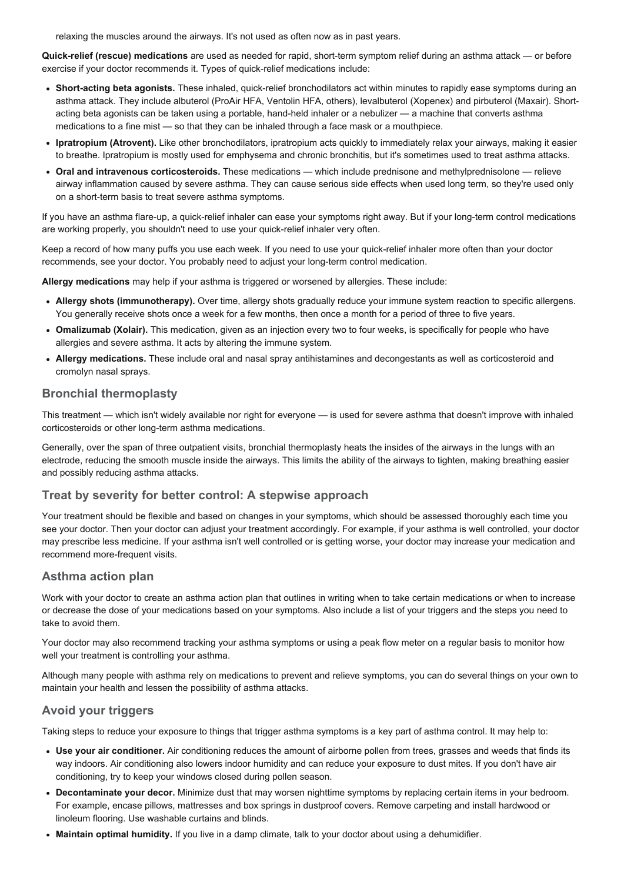relaxing the muscles around the airways. It's not used as often now as in past years.

Quick-relief (rescue) medications are used as needed for rapid, short-term symptom relief during an asthma attack — or before exercise if your doctor recommends it. Types of quick-relief medications include:

- Short-acting beta agonists. These inhaled, quick-relief bronchodilators act within minutes to rapidly ease symptoms during an asthma attack. They include albuterol (ProAir HFA, Ventolin HFA, others), levalbuterol (Xopenex) and pirbuterol (Maxair). Shortacting beta agonists can be taken using a portable, hand-held inhaler or a nebulizer — a machine that converts asthma medications to a fine mist — so that they can be inhaled through a face mask or a mouthpiece.
- Ipratropium (Atrovent). Like other bronchodilators, ipratropium acts quickly to immediately relax your airways, making it easier to breathe. Ipratropium is mostly used for emphysema and chronic bronchitis, but it's sometimes used to treat asthma attacks.
- Oral and intravenous corticosteroids. These medications which include prednisone and methylprednisolone relieve airway inflammation caused by severe asthma. They can cause serious side effects when used long term, so they're used only on a short-term basis to treat severe asthma symptoms.

If you have an asthma flare-up, a quick-relief inhaler can ease your symptoms right away. But if your long-term control medications are working properly, you shouldn't need to use your quick-relief inhaler very often.

Keep a record of how many puffs you use each week. If you need to use your quick-relief inhaler more often than your doctor recommends, see your doctor. You probably need to adjust your long-term control medication.

Allergy medications may help if your asthma is triggered or worsened by allergies. These include:

- Allergy shots (immunotherapy). Over time, allergy shots gradually reduce your immune system reaction to specific allergens. You generally receive shots once a week for a few months, then once a month for a period of three to five years.
- Omalizumab (Xolair). This medication, given as an injection every two to four weeks, is specifically for people who have allergies and severe asthma. It acts by altering the immune system.
- Allergy medications. These include oral and nasal spray antihistamines and decongestants as well as corticosteroid and cromolyn nasal sprays.

## Bronchial thermoplasty

This treatment — which isn't widely available nor right for everyone — is used for severe asthma that doesn't improve with inhaled corticosteroids or other long-term asthma medications.

Generally, over the span of three outpatient visits, bronchial thermoplasty heats the insides of the airways in the lungs with an electrode, reducing the smooth muscle inside the airways. This limits the ability of the airways to tighten, making breathing easier and possibly reducing asthma attacks.

## Treat by severity for better control: A stepwise approach

Your treatment should be flexible and based on changes in your symptoms, which should be assessed thoroughly each time you see your doctor. Then your doctor can adjust your treatment accordingly. For example, if your asthma is well controlled, your doctor may prescribe less medicine. If your asthma isn't well controlled or is getting worse, your doctor may increase your medication and recommend more-frequent visits.

# Asthma action plan

Work with your doctor to create an asthma action plan that outlines in writing when to take certain medications or when to increase or decrease the dose of your medications based on your symptoms. Also include a list of your triggers and the steps you need to take to avoid them.

Your doctor may also recommend tracking your asthma symptoms or using a peak flow meter on a regular basis to monitor how well your treatment is controlling your asthma.

Although many people with asthma rely on medications to prevent and relieve symptoms, you can do several things on your own to maintain your health and lessen the possibility of asthma attacks.

# Avoid your triggers

Taking steps to reduce your exposure to things that trigger asthma symptoms is a key part of asthma control. It may help to:

- Use your air conditioner. Air conditioning reduces the amount of airborne pollen from trees, grasses and weeds that finds its way indoors. Air conditioning also lowers indoor humidity and can reduce your exposure to dust mites. If you don't have air conditioning, try to keep your windows closed during pollen season.
- Decontaminate your decor. Minimize dust that may worsen nighttime symptoms by replacing certain items in your bedroom. For example, encase pillows, mattresses and box springs in dustproof covers. Remove carpeting and install hardwood or linoleum flooring. Use washable curtains and blinds.
- Maintain optimal humidity. If you live in a damp climate, talk to your doctor about using a dehumidifier.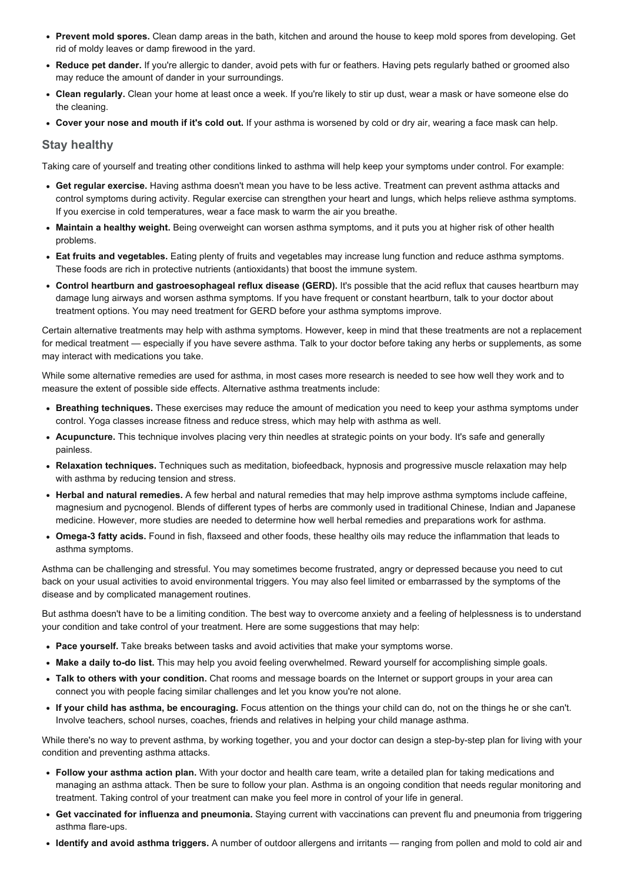- Prevent mold spores. Clean damp areas in the bath, kitchen and around the house to keep mold spores from developing. Get rid of moldy leaves or damp firewood in the yard.
- Reduce pet dander. If you're allergic to dander, avoid pets with fur or feathers. Having pets regularly bathed or groomed also may reduce the amount of dander in your surroundings.
- Clean regularly. Clean your home at least once a week. If you're likely to stir up dust, wear a mask or have someone else do the cleaning.
- Cover your nose and mouth if it's cold out. If your asthma is worsened by cold or dry air, wearing a face mask can help.

#### Stay healthy

Taking care of yourself and treating other conditions linked to asthma will help keep your symptoms under control. For example:

- Get regular exercise. Having asthma doesn't mean you have to be less active. Treatment can prevent asthma attacks and control symptoms during activity. Regular exercise can strengthen your heart and lungs, which helps relieve asthma symptoms. If you exercise in cold temperatures, wear a face mask to warm the air you breathe.
- Maintain a healthy weight. Being overweight can worsen asthma symptoms, and it puts you at higher risk of other health problems.
- Eat fruits and vegetables. Eating plenty of fruits and vegetables may increase lung function and reduce asthma symptoms. These foods are rich in protective nutrients (antioxidants) that boost the immune system.
- Control heartburn and gastroesophageal reflux disease (GERD). It's possible that the acid reflux that causes heartburn may damage lung airways and worsen asthma symptoms. If you have frequent or constant heartburn, talk to your doctor about treatment options. You may need treatment for GERD before your asthma symptoms improve.

Certain alternative treatments may help with asthma symptoms. However, keep in mind that these treatments are not a replacement for medical treatment — especially if you have severe asthma. Talk to your doctor before taking any herbs or supplements, as some may interact with medications you take.

While some alternative remedies are used for asthma, in most cases more research is needed to see how well they work and to measure the extent of possible side effects. Alternative asthma treatments include:

- Breathing techniques. These exercises may reduce the amount of medication you need to keep your asthma symptoms under control. Yoga classes increase fitness and reduce stress, which may help with asthma as well.
- Acupuncture. This technique involves placing very thin needles at strategic points on your body. It's safe and generally painless.
- Relaxation techniques. Techniques such as meditation, biofeedback, hypnosis and progressive muscle relaxation may help with asthma by reducing tension and stress.
- Herbal and natural remedies. A few herbal and natural remedies that may help improve asthma symptoms include caffeine, magnesium and pycnogenol. Blends of different types of herbs are commonly used in traditional Chinese, Indian and Japanese medicine. However, more studies are needed to determine how well herbal remedies and preparations work for asthma.
- Omega-3 fatty acids. Found in fish, flaxseed and other foods, these healthy oils may reduce the inflammation that leads to asthma symptoms.

Asthma can be challenging and stressful. You may sometimes become frustrated, angry or depressed because you need to cut back on your usual activities to avoid environmental triggers. You may also feel limited or embarrassed by the symptoms of the disease and by complicated management routines.

But asthma doesn't have to be a limiting condition. The best way to overcome anxiety and a feeling of helplessness is to understand your condition and take control of your treatment. Here are some suggestions that may help:

- Pace yourself. Take breaks between tasks and avoid activities that make your symptoms worse.
- Make a daily to-do list. This may help you avoid feeling overwhelmed. Reward yourself for accomplishing simple goals.
- Talk to others with your condition. Chat rooms and message boards on the Internet or support groups in your area can connect you with people facing similar challenges and let you know you're not alone.
- If your child has asthma, be encouraging. Focus attention on the things your child can do, not on the things he or she can't. Involve teachers, school nurses, coaches, friends and relatives in helping your child manage asthma.

While there's no way to prevent asthma, by working together, you and your doctor can design a step-by-step plan for living with your condition and preventing asthma attacks.

- Follow your asthma action plan. With your doctor and health care team, write a detailed plan for taking medications and managing an asthma attack. Then be sure to follow your plan. Asthma is an ongoing condition that needs regular monitoring and treatment. Taking control of your treatment can make you feel more in control of your life in general.
- Get vaccinated for influenza and pneumonia. Staying current with vaccinations can prevent flu and pneumonia from triggering asthma flare-ups.
- Identify and avoid asthma triggers. A number of outdoor allergens and irritants ranging from pollen and mold to cold air and